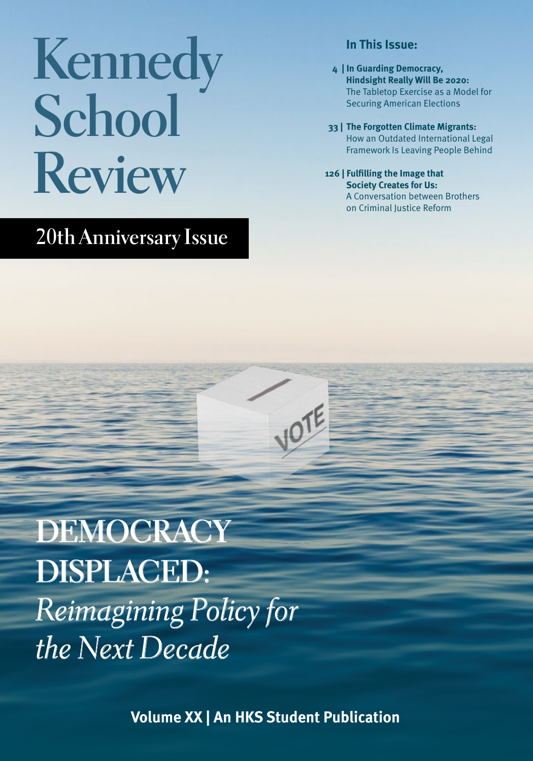# **Kennedy School Review**

## **20th Anniversary Issue**

## **In This Issue:**

- **4 | In Guarding Democracy, Hindsight Really Will Be 2020:**  The Tabletop Exercise as a Model for Securing American Elections
- **33 | The Forgotten Climate Migrants:**  How an Outdated International Legal Framework Is Leaving People Behind
- **126| Fulfilling the Image that Society Creates for Us:**  A Conversation between Brothers on Criminal Justice Reform

**DEMOCRACY DISPLACED:** *Reimagining Policy for the Next Decade*

**Volume XX | An HKS Student Publication**

**VOTE**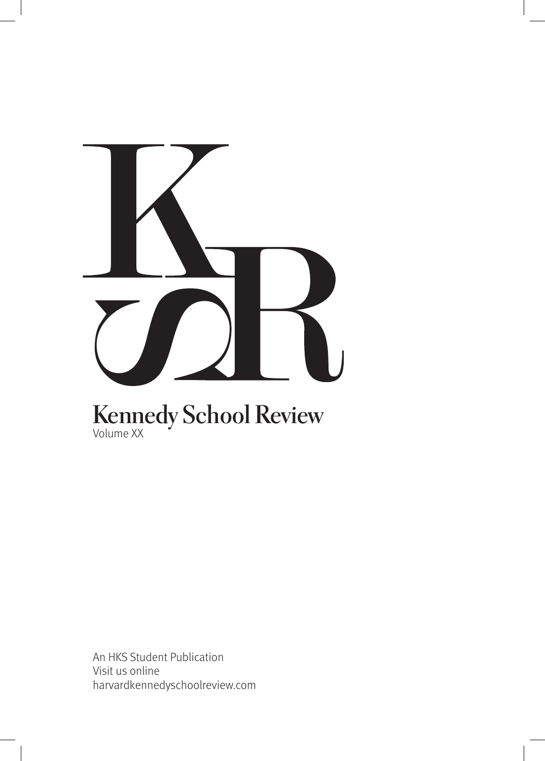

## **Kennedy School Review** Volume XX

An HKS Student Publication Visit us online harvardkennedyschoolreview.com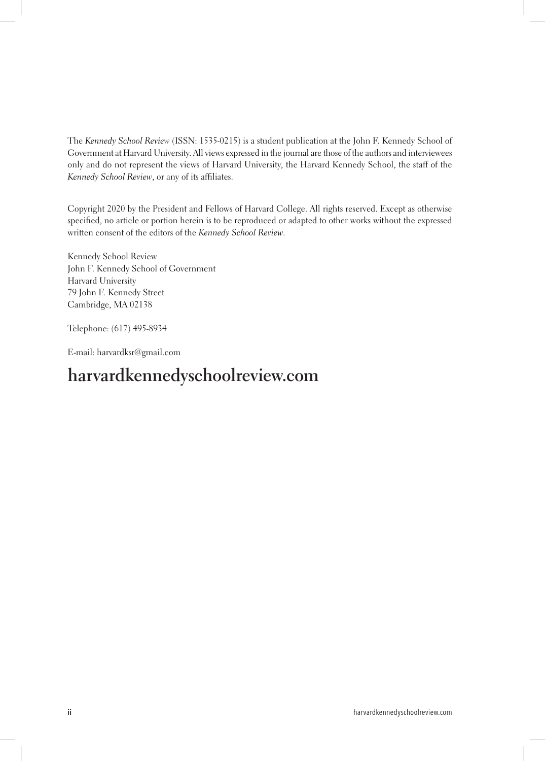The *Kennedy School Review* (ISSN: 1535-0215) is a student publication at the John F. Kennedy School of Government at Harvard University. All views expressed in the journal are those of the authors and interviewees only and do not represent the views of Harvard University, the Harvard Kennedy School, the staff of the *Kennedy School Review*, or any of its affliates.

Copyright 2020 by the President and Fellows of Harvard College. All rights reserved. Except as otherwise specifed, no article or portion herein is to be reproduced or adapted to other works without the expressed written consent of the editors of the *Kennedy School Review*.

Kennedy School Review John F. Kennedy School of Government Harvard University 79 John F. Kennedy Street Cambridge, MA 02138

Telephone: (617) 495-8934

E-mail: harvardksr@gmail.com

## **harvardkennedyschoolreview.com**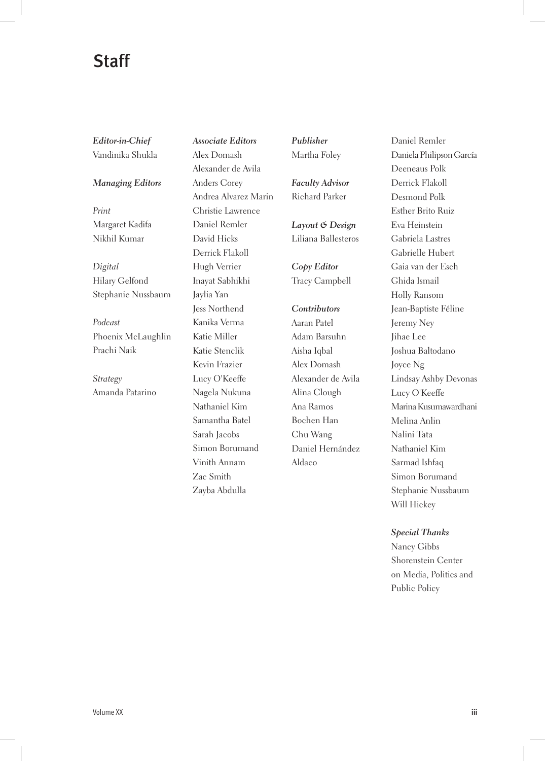## Staff

*Editor-in-Chief* Vandinika Shukla

*Managing Editors*

*Print* Margaret Kadifa Nikhil Kumar

*Digital* Hilary Gelfond Stephanie Nussbaum

*Podcast* Phoenix McLaughlin Prachi Naik

*Strategy* Amanda Patarino *Associate Editors* Alex Domash Alexander de Avila Anders Corey Andrea Alvarez Marin Christie Lawrence Daniel Remler David Hicks Derrick Flakoll Hugh Verrier Inayat Sabhikhi Jaylia Yan Jess Northend Kanika Verma Katie Miller Katie Stenclik Kevin Frazier Lucy O'Keeffe Nagela Nukuna Nathaniel Kim Samantha Batel Sarah Jacobs Simon Borumand Vinith Annam Zac Smith Zayba Abdulla

*Publisher* Martha Foley

*Faculty Advisor* Richard Parker

*Layout & Design* Liliana Ballesteros

*Copy Editor* Tracy Campbell

*Contributors* Aaran Patel Adam Barsuhn Aisha Iqbal Alex Domash Alexander de Avila Alina Clough Ana Ramos Bochen Han Chu Wang Daniel Hernández Aldaco

Daniel Remler Daniela Philipson García Deeneaus Polk Derrick Flakoll Desmond Polk Esther Brito Ruiz Eva Heinstein Gabriela Lastres Gabrielle Hubert Gaia van der Esch Ghida Ismail Holly Ransom Jean-Baptiste Féline Jeremy Ney Jihae Lee Joshua Baltodano Joyce Ng Lindsay Ashby Devonas Lucy O'Keeffe Marina Kusumawardhani Melina Anlin Nalini Tata Nathaniel Kim Sarmad Ishfaq Simon Borumand Stephanie Nussbaum Will Hickey

#### *Special Thanks*

Nancy Gibbs Shorenstein Center on Media, Politics and Public Policy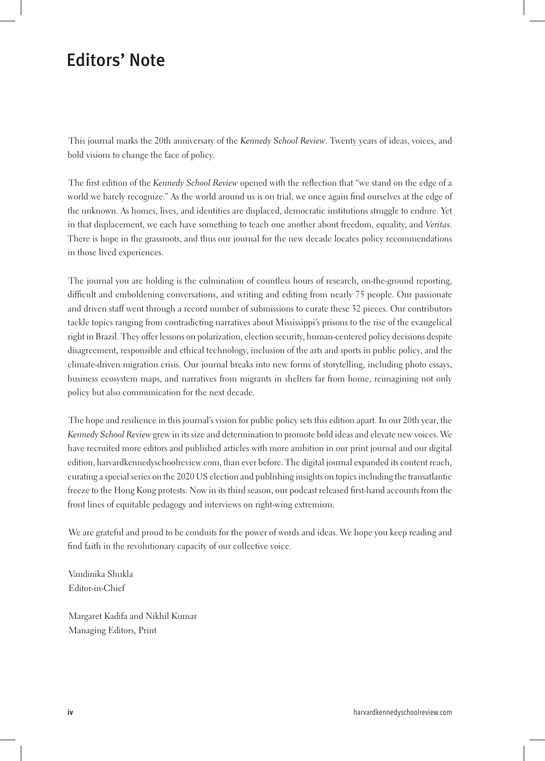## Editors' Note

This journal marks the 20th anniversary of the *Kennedy School Review*. Twenty years of ideas, voices, and bold visions to change the face of policy.

The frst edition of the *Kennedy School Review* opened with the refection that "we stand on the edge of a world we barely recognize." As the world around us is on trial, we once again fnd ourselves at the edge of the unknown. As homes, lives, and identities are displaced, democratic institutions struggle to endure. Yet in that displacement, we each have something to teach one another about freedom, equality, and *Veritas*. There is hope in the grassroots, and thus our journal for the new decade locates policy recommendations in those lived experiences.

The journal you are holding is the culmination of countless hours of research, on-the-ground reporting, diffcult and emboldening conversations, and writing and editing from nearly 75 people. Our passionate and driven staff went through a record number of submissions to curate these 32 pieces. Our contributors tackle topics ranging from contradicting narratives about Mississippi's prisons to the rise of the evangelical right in Brazil. They offer lessons on polarization, election security, human-centered policy decisions despite disagreement, responsible and ethical technology, inclusion of the arts and sports in public policy, and the climate-driven migration crisis. Our journal breaks into new forms of storytelling, including photo essays, business ecosystem maps, and narratives from migrants in shelters far from home, reimagining not only policy but also communication for the next decade.

The hope and resilience in this journal's vision for public policy sets this edition apart. In our 20th year, the *Kennedy School Review* grew in its size and determination to promote bold ideas and elevate new voices. We have recruited more editors and published articles with more ambition in our print journal and our digital edition, harvardkennedyschoolreview.com, than ever before. The digital journal expanded its content reach, curating a special series on the 2020 US election and publishing insights on topics including the transatlantic freeze to the Hong Kong protests. Now in its third season, our podcast released frst-hand accounts from the front lines of equitable pedagogy and interviews on right-wing extremism.

We are grateful and proud to be conduits for the power of words and ideas. We hope you keep reading and fnd faith in the revolutionary capacity of our collective voice.

Vandinika Shukla Editor-in-Chief

Margaret Kadifa and Nikhil Kumar Managing Editors, Print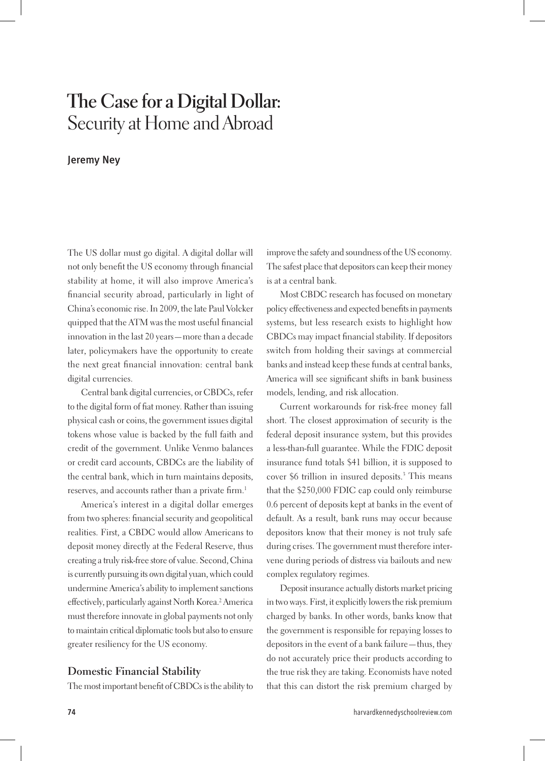## **The Case for a Digital Dollar:**  Security at Home and Abroad

## Jeremy Ney

The US dollar must go digital. A digital dollar will not only beneft the US economy through fnancial stability at home, it will also improve America's fnancial security abroad, particularly in light of China's economic rise. In 2009, the late Paul Volcker quipped that the ATM was the most useful fnancial innovation in the last 20 years—more than a decade later, policymakers have the opportunity to create the next great fnancial innovation: central bank digital currencies.

Central bank digital currencies, or CBDCs, refer to the digital form of fat money. Rather than issuing physical cash or coins, the government issues digital tokens whose value is backed by the full faith and credit of the government. Unlike Venmo balances or credit card accounts, CBDCs are the liability of the central bank, which in turn maintains deposits, reserves, and accounts rather than a private firm.<sup>1</sup>

America's interest in a digital dollar emerges from two spheres: fnancial security and geopolitical realities. First, a CBDC would allow Americans to deposit money directly at the Federal Reserve, thus creating a truly risk-free store of value. Second, China is currently pursuing its own digital yuan, which could undermine America's ability to implement sanctions effectively, particularly against North Korea.<sup>2</sup> America must therefore innovate in global payments not only to maintain critical diplomatic tools but also to ensure greater resiliency for the US economy.

#### **Domestic Financial Stability**

The most important beneft of CBDCs is the ability to

improve the safety and soundness of the US economy. The safest place that depositors can keep their money is at a central bank.

Most CBDC research has focused on monetary policy effectiveness and expected benefts in payments systems, but less research exists to highlight how CBDCs may impact fnancial stability. If depositors switch from holding their savings at commercial banks and instead keep these funds at central banks, America will see signifcant shifts in bank business models, lending, and risk allocation.

Current workarounds for risk-free money fall short. The closest approximation of security is the federal deposit insurance system, but this provides a less-than-full guarantee. While the FDIC deposit insurance fund totals \$41 billion, it is supposed to cover \$6 trillion in insured deposits.3 This means that the \$250,000 FDIC cap could only reimburse 0.6 percent of deposits kept at banks in the event of default. As a result, bank runs may occur because depositors know that their money is not truly safe during crises. The government must therefore intervene during periods of distress via bailouts and new complex regulatory regimes.

Deposit insurance actually distorts market pricing in two ways. First, it explicitly lowers the risk premium charged by banks. In other words, banks know that the government is responsible for repaying losses to depositors in the event of a bank failure—thus, they do not accurately price their products according to the true risk they are taking. Economists have noted that this can distort the risk premium charged by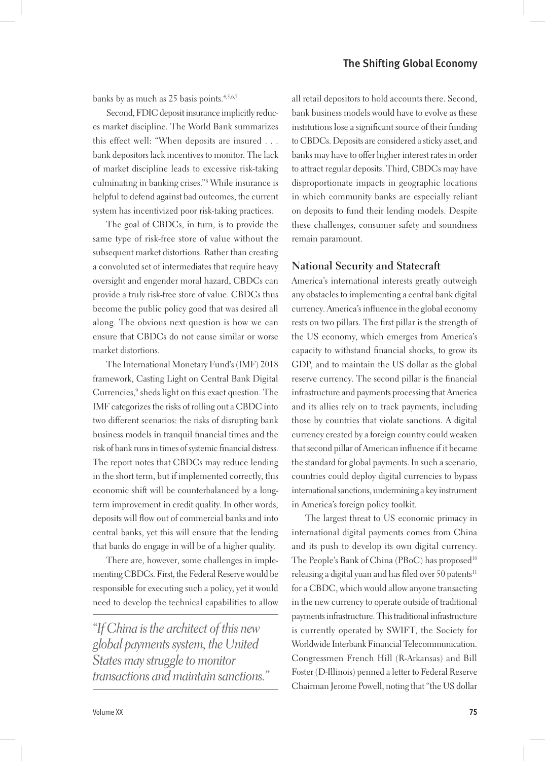#### The Shifting Global Economy

banks by as much as 25 basis points.<sup>4,5,6,7</sup>

Second, FDIC deposit insurance implicitly reduces market discipline. The World Bank summarizes this effect well: "When deposits are insured . . . bank depositors lack incentives to monitor. The lack of market discipline leads to excessive risk-taking culminating in banking crises."8 While insurance is helpful to defend against bad outcomes, the current system has incentivized poor risk-taking practices.

The goal of CBDCs, in turn, is to provide the same type of risk-free store of value without the subsequent market distortions. Rather than creating a convoluted set of intermediates that require heavy oversight and engender moral hazard, CBDCs can provide a truly risk-free store of value. CBDCs thus become the public policy good that was desired all along. The obvious next question is how we can ensure that CBDCs do not cause similar or worse market distortions.

The International Monetary Fund's (IMF) 2018 framework, Casting Light on Central Bank Digital Currencies,<sup>9</sup> sheds light on this exact question. The IMF categorizes the risks of rolling out a CBDC into two different scenarios: the risks of disrupting bank business models in tranquil fnancial times and the risk of bank runs in times of systemic fnancial distress. The report notes that CBDCs may reduce lending in the short term, but if implemented correctly, this economic shift will be counterbalanced by a longterm improvement in credit quality. In other words, deposits will fow out of commercial banks and into central banks, yet this will ensure that the lending that banks do engage in will be of a higher quality.

There are, however, some challenges in implementing CBDCs. First, the Federal Reserve would be responsible for executing such a policy, yet it would need to develop the technical capabilities to allow

*"If China is the architect of this new global payments system, the United States may struggle to monitor transactions and maintain sanctions."* all retail depositors to hold accounts there. Second, bank business models would have to evolve as these institutions lose a signifcant source of their funding to CBDCs. Deposits are considered a sticky asset, and banks may have to offer higher interest rates in order to attract regular deposits. Third, CBDCs may have disproportionate impacts in geographic locations in which community banks are especially reliant on deposits to fund their lending models. Despite these challenges, consumer safety and soundness remain paramount.

#### **National Security and Statecraft**

America's international interests greatly outweigh any obstacles to implementing a central bank digital currency. America's infuence in the global economy rests on two pillars. The frst pillar is the strength of the US economy, which emerges from America's capacity to withstand fnancial shocks, to grow its GDP, and to maintain the US dollar as the global reserve currency. The second pillar is the fnancial infrastructure and payments processing that America and its allies rely on to track payments, including those by countries that violate sanctions. A digital currency created by a foreign country could weaken that second pillar of American infuence if it became the standard for global payments. In such a scenario, countries could deploy digital currencies to bypass international sanctions, undermining a key instrument in America's foreign policy toolkit.

The largest threat to US economic primacy in international digital payments comes from China and its push to develop its own digital currency. The People's Bank of China (PBoC) has proposed<sup>10</sup> releasing a digital yuan and has filed over 50 patents<sup>11</sup> for a CBDC, which would allow anyone transacting in the new currency to operate outside of traditional payments infrastructure. This traditional infrastructure is currently operated by SWIFT, the Society for Worldwide Interbank Financial Telecommunication. Congressmen French Hill (R-Arkansas) and Bill Foster (D-Illinois) penned a letter to Federal Reserve Chairman Jerome Powell, noting that "the US dollar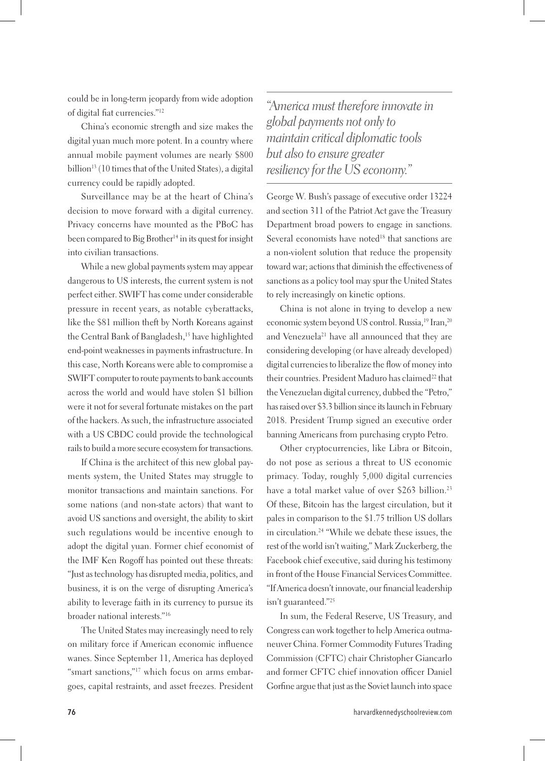could be in long-term jeopardy from wide adoption of digital fat currencies."12

China's economic strength and size makes the digital yuan much more potent. In a country where annual mobile payment volumes are nearly \$800 billion<sup>13</sup> (10 times that of the United States), a digital currency could be rapidly adopted.

Surveillance may be at the heart of China's decision to move forward with a digital currency. Privacy concerns have mounted as the PBoC has been compared to Big Brother<sup>14</sup> in its quest for insight into civilian transactions.

While a new global payments system may appear dangerous to US interests, the current system is not perfect either. SWIFT has come under considerable pressure in recent years, as notable cyberattacks, like the \$81 million theft by North Koreans against the Central Bank of Bangladesh,<sup>15</sup> have highlighted end-point weaknesses in payments infrastructure. In this case, North Koreans were able to compromise a SWIFT computer to route payments to bank accounts across the world and would have stolen \$1 billion were it not for several fortunate mistakes on the part of the hackers. As such, the infrastructure associated with a US CBDC could provide the technological rails to build a more secure ecosystem for transactions.

If China is the architect of this new global payments system, the United States may struggle to monitor transactions and maintain sanctions. For some nations (and non-state actors) that want to avoid US sanctions and oversight, the ability to skirt such regulations would be incentive enough to adopt the digital yuan. Former chief economist of the IMF Ken Rogoff has pointed out these threats: "Just as technology has disrupted media, politics, and business, it is on the verge of disrupting America's ability to leverage faith in its currency to pursue its broader national interests."16

The United States may increasingly need to rely on military force if American economic infuence wanes. Since September 11, America has deployed "smart sanctions,"17 which focus on arms embargoes, capital restraints, and asset freezes. President

*"America must therefore innovate in global payments not only to maintain critical diplomatic tools but also to ensure greater resiliency for the US economy."*

George W. Bush's passage of executive order 13224 and section 311 of the Patriot Act gave the Treasury Department broad powers to engage in sanctions. Several economists have noted<sup>18</sup> that sanctions are a non-violent solution that reduce the propensity toward war; actions that diminish the effectiveness of sanctions as a policy tool may spur the United States to rely increasingly on kinetic options.

China is not alone in trying to develop a new economic system beyond US control. Russia,<sup>19</sup> Iran,<sup>20</sup> and Venezuela<sup>21</sup> have all announced that they are considering developing (or have already developed) digital currencies to liberalize the fow of money into their countries. President Maduro has claimed<sup>22</sup> that the Venezuelan digital currency, dubbed the "Petro," has raised over \$3.3 billion since its launch in February 2018. President Trump signed an executive order banning Americans from purchasing crypto Petro.

Other cryptocurrencies, like Libra or Bitcoin, do not pose as serious a threat to US economic primacy. Today, roughly 5,000 digital currencies have a total market value of over \$263 billion.<sup>23</sup> Of these, Bitcoin has the largest circulation, but it pales in comparison to the \$1.75 trillion US dollars in circulation.24 "While we debate these issues, the rest of the world isn't waiting," Mark Zuckerberg, the Facebook chief executive, said during his testimony in front of the House Financial Services Committee. "If America doesn't innovate, our fnancial leadership isn't guaranteed."25

In sum, the Federal Reserve, US Treasury, and Congress can work together to help America outmaneuver China. Former Commodity Futures Trading Commission (CFTC) chair Christopher Giancarlo and former CFTC chief innovation officer Daniel Gorfne argue that just as the Soviet launch into space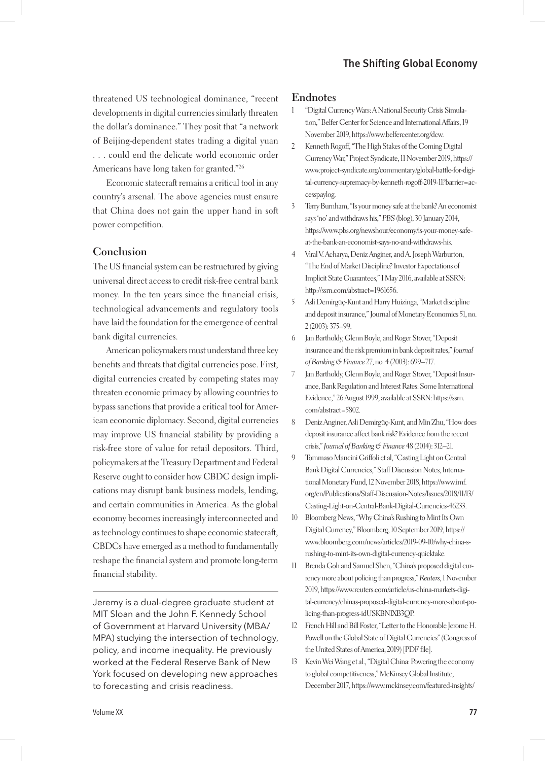## The Shifting Global Economy

threatened US technological dominance, "recent developments in digital currencies similarly threaten the dollar's dominance." They posit that "a network of Beijing-dependent states trading a digital yuan . . . could end the delicate world economic order Americans have long taken for granted."26

Economic statecraft remains a critical tool in any country's arsenal. The above agencies must ensure that China does not gain the upper hand in soft power competition.

### **Conclusion**

The US fnancial system can be restructured by giving universal direct access to credit risk-free central bank money. In the ten years since the fnancial crisis, technological advancements and regulatory tools have laid the foundation for the emergence of central bank digital currencies.

American policymakers must understand three key benefts and threats that digital currencies pose. First, digital currencies created by competing states may threaten economic primacy by allowing countries to bypass sanctions that provide a critical tool for American economic diplomacy. Second, digital currencies may improve US fnancial stability by providing a risk-free store of value for retail depositors. Third, policymakers at the Treasury Department and Federal Reserve ought to consider how CBDC design implications may disrupt bank business models, lending, and certain communities in America. As the global economy becomes increasingly interconnected and as technology continues to shape economic statecraft, CBDCs have emerged as a method to fundamentally reshape the fnancial system and promote long-term fnancial stability.

Jeremy is a dual-degree graduate student at MIT Sloan and the John F. Kennedy School of Government at Harvard University (MBA/ MPA) studying the intersection of technology, policy, and income inequality. He previously worked at the Federal Reserve Bank of New York focused on developing new approaches to forecasting and crisis readiness.

#### **Endnotes**

- 1 "Digital Currency Wars: A National Security Crisis Simulation," Belfer Center for Science and International Affairs, 19 November 2019, https://www.belfercenter.org/dcw.
- 2 Kenneth Rogoff, "The High Stakes of the Coming Digital Currency War," Project Syndicate, 11 November 2019, https:// www.project-syndicate.org/commentary/global-battle-for-digital-currency-supremacy-by-kenneth-rogoff-2019-11?barrier=accesspaylog.
- 3 Terry Burnham, "Is your money safe at the bank? An economist says 'no' and withdraws his," *PBS* (blog), 30 January 2014, https://www.pbs.org/newshour/economy/is-your-money-safeat-the-bank-an-economist-says-no-and-withdraws-his.
- 4 Viral V. Acharya, Deniz Anginer, and A. Joseph Warburton, "The End of Market Discipline? Investor Expectations of Implicit State Guarantees," 1 May 2016, available at SSRN: http://ssrn.com/abstract=1961656.
- 5 Asli Demirgüç-Kunt and Harry Huizinga, "Market discipline and deposit insurance," Journal of Monetary Economics 51, no. 2 (2003): 375–99.
- 6 Jan Bartholdy, Glenn Boyle, and Roger Stover, "Deposit insurance and the risk premium in bank deposit rates," *Journal of Banking & Finance* 27, no. 4 (2003): 699–717.
- 7 Jan Bartholdy, Glenn Boyle, and Roger Stover, "Deposit Insurance, Bank Regulation and Interest Rates: Some International Evidence," 26 August 1999, available at SSRN: https://ssrn. com/abstract=5802.
- 8 Deniz Anginer, Asli Demirgüç-Kunt, and Min Zhu, "How does deposit insurance affect bank risk? Evidence from the recent crisis," *Journal of Banking & Finance* 48 (2014): 312–21.
- 9 Tommaso Mancini Griffoli et al, "Casting Light on Central Bank Digital Currencies," Staff Discussion Notes, International Monetary Fund, 12 November 2018, https://www.imf. org/en/Publications/Staff-Discussion-Notes/Issues/2018/11/13/ Casting-Light-on-Central-Bank-Digital-Currencies-46233.
- 10 Bloomberg News, "Why China's Rushing to Mint Its Own Digital Currency," Bloomberg, 10 September 2019, https:// www.bloomberg.com/news/articles/2019-09-10/why-china-srushing-to-mint-its-own-digital-currency-quicktake.
- 11 Brenda Goh and Samuel Shen, "China's proposed digital currency more about policing than progress," *Reuters*, 1 November 2019, https://www.reuters.com/article/us-china-markets-digital-currency/chinas-proposed-digital-currency-more-about-policing-than-progress-idUSKBN1XB3QP.
- 12 French Hill and Bill Foster, "Letter to the Honorable Jerome H. Powell on the Global State of Digital Currencies" (Congress of the United States of America, 2019) [PDF file].
- 13 Kevin Wei Wang et al., "Digital China: Powering the economy to global competitiveness," McKinsey Global Institute, December 2017, https://www.mckinsey.com/featured-insights/